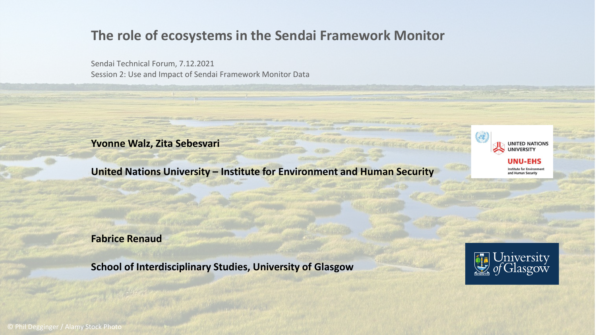### **The role of ecosystems in the Sendai Framework Monitor**

Sendai Technical Forum, 7.12.2021 Session 2: Use and Impact of Sendai Framework Monitor Data

**Yvonne Walz, Zita Sebesvari**

**United Nations University – Institute for Environment and Human Security**



**Fabrice Renaud**

**School of Interdisciplinary Studies, University of Glasgow**



© Phil Degginger / Alamy Stock Photo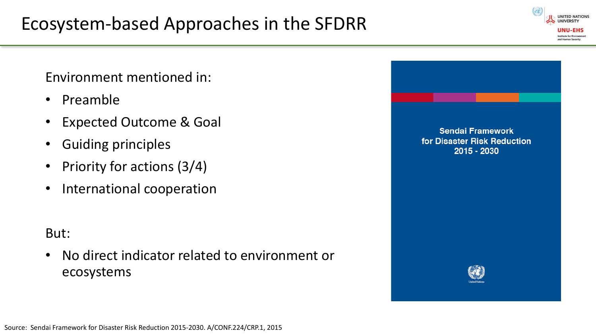Environment mentioned in:

- Preamble
- Expected Outcome & Goal
- Guiding principles
- Priority for actions (3/4)
- International cooperation

### But:

• No direct indicator related to environment or ecosystems



**LINITED NATION**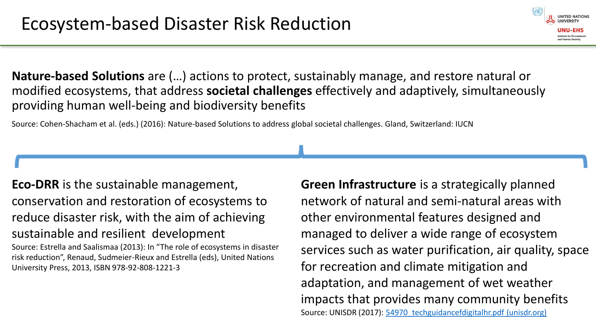**Nature-based Solutions** are (…) actions to protect, sustainably manage, and restore natural or modified ecosystems, that address **societal challenges** effectively and adaptively, simultaneously providing human well-being and biodiversity benefits

Source: Cohen-Shacham et al. (eds.) (2016): Nature-based Solutions to address global societal challenges. Gland, Switzerland: IUCN

**Eco-DRR** is the sustainable management, conservation and restoration of ecosystems to reduce disaster risk, with the aim of achieving sustainable and resilient development Source: Estrella and Saalismaa (2013): In "The role of ecosystems in disaster risk reduction", Renaud, Sudmeier-Rieux and Estrella (eds), United Nations

University Press, 2013, ISBN 978-92-808-1221-3

**Green Infrastructure** is a strategically planned network of natural and semi-natural areas with other environmental features designed and managed to deliver a wide range of ecosystem services such as water purification, air quality, space for recreation and climate mitigation and adaptation, and management of wet weather impacts that provides many community benefits Source: UNISDR (2017): [54970\\_techguidancefdigitalhr.pdf \(unisdr.org\)](https://www.unisdr.org/files/54970_techguidancefdigitalhr.pdf)

and Human Securit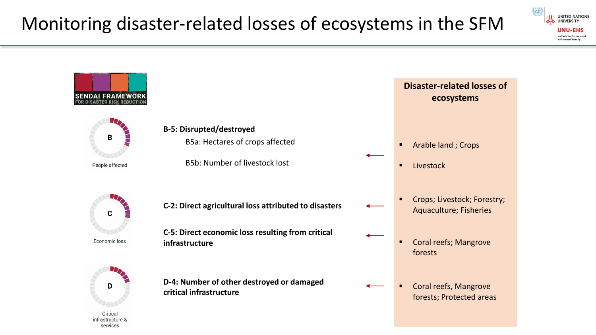infrastructure & services



**UNITED NATIONS UNIVERSITY** UNU-FHS **Institute for Environment** and Human Security

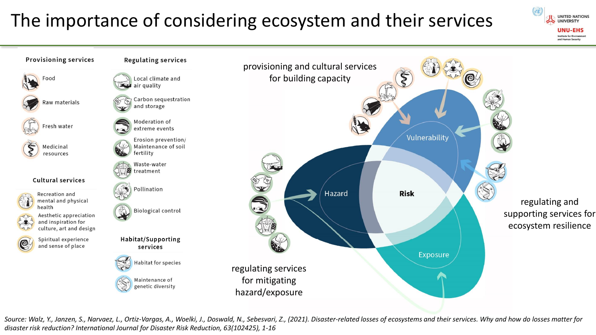# The importance of considering ecosystem and their services





*Source: Walz, Y., Janzen, S., Narvaez, L., Ortiz-Vargas, A., Woelki, J., Doswald, N., Sebesvari, Z., (2021). Disaster-related losses of ecosystems and their services. Why and how do losses matter for disaster risk reduction? International Journal for Disaster Risk Reduction, 63(102425), 1-16*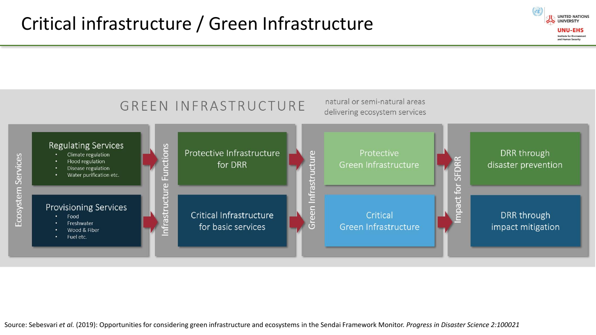

**UNITED NATIONS UNIVERSITY UNU-EHS Institute for Environment** and Human Security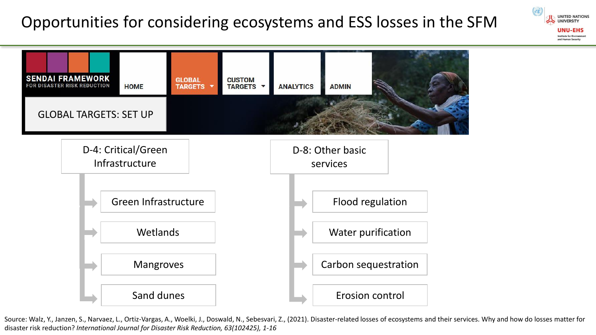## Opportunities for considering ecosystems and ESS losses in the SFM

**UNITED NATIONS UNIVERSITY** UNU-FHS **Institute for Environmer** and Human Security



Source: Walz, Y., Janzen, S., Narvaez, L., Ortiz-Vargas, A., Woelki, J., Doswald, N., Sebesvari, Z., (2021). Disaster-related losses of ecosystems and their services. Why and how do losses matter for disaster risk reduction? *International Journal for Disaster Risk Reduction, 63(102425), 1-16*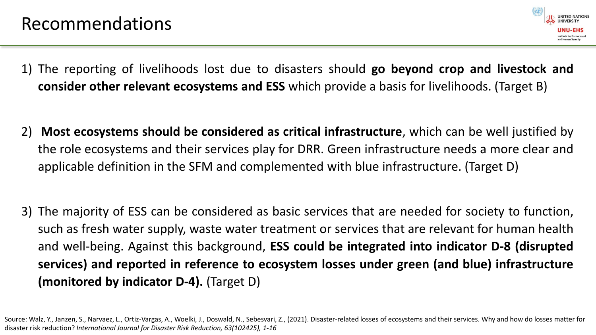

- 1) The reporting of livelihoods lost due to disasters should **go beyond crop and livestock and consider other relevant ecosystems and ESS** which provide a basis for livelihoods. (Target B)
- 2) **Most ecosystems should be considered as critical infrastructure**, which can be well justified by the role ecosystems and their services play for DRR. Green infrastructure needs a more clear and applicable definition in the SFM and complemented with blue infrastructure. (Target D)
- 3) The majority of ESS can be considered as basic services that are needed for society to function, such as fresh water supply, waste water treatment or services that are relevant for human health and well-being. Against this background, **ESS could be integrated into indicator D-8 (disrupted services) and reported in reference to ecosystem losses under green (and blue) infrastructure (monitored by indicator D-4).** (Target D)

Source: Walz, Y., Janzen, S., Narvaez, L., Ortiz-Vargas, A., Woelki, J., Doswald, N., Sebesvari, Z., (2021). Disaster-related losses of ecosystems and their services. Why and how do losses matter for disaster risk reduction? *International Journal for Disaster Risk Reduction, 63(102425), 1-16*